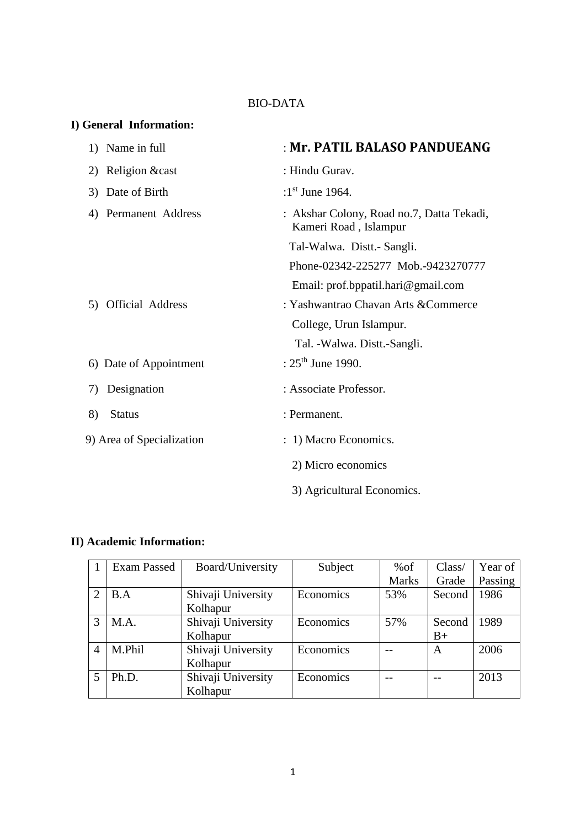### BIO-DATA

## **I) General Information:**

| 1) Name in full               | : Mr. PATIL BALASO PANDUEANG                                       |
|-------------------------------|--------------------------------------------------------------------|
| 2) Religion & cast            | : Hindu Gurav.                                                     |
| 3) Date of Birth              | :1st June 1964.                                                    |
| 4) Permanent Address          | : Akshar Colony, Road no.7, Datta Tekadi,<br>Kameri Road, Islampur |
|                               | Tal-Walwa. Distt.- Sangli.                                         |
|                               | Phone-02342-225277 Mob.-9423270777                                 |
|                               | Email: prof.bppatil.hari@gmail.com                                 |
| <b>Official Address</b><br>5) | : Yashwantrao Chavan Arts & Commerce                               |
|                               | College, Urun Islampur.                                            |
|                               | Tal. - Walwa. Distt.-Sangli.                                       |
| 6) Date of Appointment        | : $25^{\text{th}}$ June 1990.                                      |
| Designation<br>7)             | : Associate Professor.                                             |
| 8)<br><b>Status</b>           | : Permanent.                                                       |
| 9) Area of Specialization     | : 1) Macro Economics.                                              |
|                               | 2) Micro economics                                                 |
|                               | 3) Agricultural Economics.                                         |

## **II) Academic Information:**

|               | Exam Passed | Board/University   | Subject   | %of          | Class/ | Year of |
|---------------|-------------|--------------------|-----------|--------------|--------|---------|
|               |             |                    |           | <b>Marks</b> | Grade  | Passing |
| $\mathcal{D}$ | B.A         | Shivaji University | Economics | 53%          | Second | 1986    |
|               |             | Kolhapur           |           |              |        |         |
| 3             | M.A.        | Shivaji University | Economics | 57%          | Second | 1989    |
|               |             | Kolhapur           |           |              | $B+$   |         |
| 4             | M.Phil      | Shivaji University | Economics |              | A      | 2006    |
|               |             | Kolhapur           |           |              |        |         |
|               | Ph.D.       | Shivaji University | Economics |              |        | 2013    |
|               |             | Kolhapur           |           |              |        |         |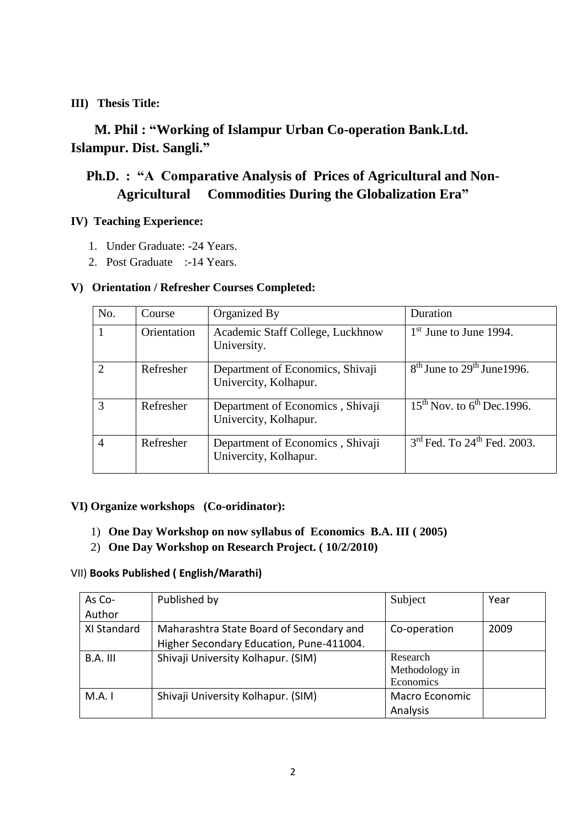### **III) Thesis Title:**

# **M. Phil : "Working of Islampur Urban Co-operation Bank.Ltd. Islampur. Dist. Sangli."**

# **Ph.D. : "A Comparative Analysis of Prices of Agricultural and Non-Agricultural Commodities During the Globalization Era"**

#### **IV) Teaching Experience:**

- 1. Under Graduate: -24 Years.
- 2. Post Graduate :-14 Years.

### **V) Orientation / Refresher Courses Completed:**

| No. | Course      | Organized By                                              | Duration                        |
|-----|-------------|-----------------------------------------------------------|---------------------------------|
|     | Orientation | Academic Staff College, Luckhnow<br>University.           | $1st$ June to June 1994.        |
|     | Refresher   | Department of Economics, Shivaji<br>Univercity, Kolhapur. | $8th$ June to $29th$ June 1996. |
| 3   | Refresher   | Department of Economics, Shivaji<br>Univercity, Kolhapur. | $15th$ Nov. to $6th$ Dec. 1996. |
| 4   | Refresher   | Department of Economics, Shivaji<br>Univercity, Kolhapur. | $3rd$ Fed. To $24th$ Fed. 2003. |

### **VI) Organize workshops (Co-oridinator):**

- 1) **One Day Workshop on now syllabus of Economics B.A. III ( 2005)**
- 2) **One Day Workshop on Research Project. ( 10/2/2010)**

#### VII) **Books Published ( English/Marathi)**

| As Co-      | Published by                             | Subject               | Year |
|-------------|------------------------------------------|-----------------------|------|
| Author      |                                          |                       |      |
| XI Standard | Maharashtra State Board of Secondary and | Co-operation          | 2009 |
|             | Higher Secondary Education, Pune-411004. |                       |      |
| $B.A.$ III  | Shivaji University Kolhapur. (SIM)       | Research              |      |
|             |                                          | Methodology in        |      |
|             |                                          | Economics             |      |
| M.A. I      | Shivaji University Kolhapur. (SIM)       | <b>Macro Economic</b> |      |
|             |                                          | Analysis              |      |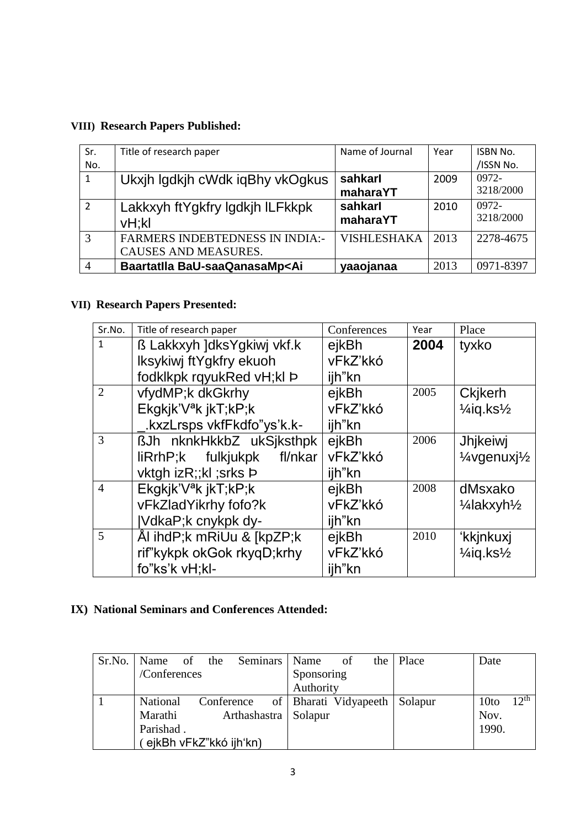# **VIII) Research Papers Published:**

| Sr.            | Title of research paper                                                                       | Name of Journal    | Year | <b>ISBN No.</b> |
|----------------|-----------------------------------------------------------------------------------------------|--------------------|------|-----------------|
| No.            |                                                                                               |                    |      | /ISSN No.       |
| 1              | Ukxjh Igdkjh cWdk iqBhy vkOgkus                                                               | sahkarl            | 2009 | $0972 -$        |
|                |                                                                                               | maharaYT           |      | 3218/2000       |
| $\overline{2}$ | Lakkxyh ftYgkfry Igdkjh ILFkkpk                                                               | sahkarl            | 2010 | $0972 -$        |
|                | vH;kl                                                                                         | maharaYT           |      | 3218/2000       |
| 3              | <b>FARMERS INDEBTEDNESS IN INDIA:-</b>                                                        | <b>VISHLESHAKA</b> | 2013 | 2278-4675       |
|                | CAUSES AND MEASURES.                                                                          |                    |      |                 |
| 4              | Baartatlla BaU-saaQanasaMp <ai< td=""><td>yaaojanaa</td><td>2013</td><td>0971-8397</td></ai<> | yaaojanaa          | 2013 | 0971-8397       |

## **VII) Research Papers Presented:**

| Sr.No.         | Title of research paper          | Conferences | Year | Place                                               |
|----------------|----------------------------------|-------------|------|-----------------------------------------------------|
| $\mathbf{1}$   | ß Lakkxyh ]dksYgkiwj vkf.k       | ejkBh       | 2004 | tyxko                                               |
|                | Iksykiwj ftYgkfry ekuoh          | vFkZ'kkó    |      |                                                     |
|                | fodklkpk rqyukRed vH;kl Þ        | ijh"kn      |      |                                                     |
| 2              | vfydMP;k dkGkrhy                 | ejkBh       | 2005 | <b>Ckjkerh</b>                                      |
|                | Ekgkjk'V <sup>a</sup> k jkT;kP;k | vFkZ'kkó    |      | $\frac{1}{4}$ iq.ks $\frac{1}{2}$                   |
|                | .kxzLrsps vkfFkdfo"ys'k.k-       | ijh"kn      |      |                                                     |
| 3              | ßJh nknkHkkbZ ukSjksthpk         | ejkBh       | 2006 | Jhjkeiwj                                            |
|                | liRrhP;k fulkjukpk<br>fl/nkar    | vFkZ'kkó    |      | 1/ <sub>4</sub> vgenuxj <sup>1</sup> / <sub>2</sub> |
|                | vktgh izR;;kl ;srks Þ            | ijh"kn      |      |                                                     |
| $\overline{4}$ | Ekgkjk'V <sup>a</sup> k jkT;kP;k | ejkBh       | 2008 | dMsxako                                             |
|                | vFkZladYikrhy fofo?k             | vFkZ'kkó    |      | 1/ <sub>4</sub> lakxyh <sup>1</sup> / <sub>2</sub>  |
|                | VdkaP;k cnykpk dy-               | ijh"kn      |      |                                                     |
| $\overline{5}$ | Ål ihdP;k mRiUu & [kpZP;k]       | ejkBh       | 2010 | 'kkjnkuxj                                           |
|                | rif"kykpk okGok rkyqD;krhy       | vFkZ'kkó    |      | $\frac{1}{4}$ iq.ks $\frac{1}{2}$                   |
|                | fo"ks'k vH;kl-                   | ijh"kn      |      |                                                     |

# **IX) National Seminars and Conferences Attended:**

|                        |            | Sr.No. Name of the Seminars Name |                       | of | the | Place   | Date             |           |
|------------------------|------------|----------------------------------|-----------------------|----|-----|---------|------------------|-----------|
| /Conferences           |            |                                  | Sponsoring            |    |     |         |                  |           |
|                        |            |                                  | Authority             |    |     |         |                  |           |
| <b>National</b>        | Conference |                                  | of Bharati Vidyapeeth |    |     | Solapur | 10 <sub>to</sub> | $12^{th}$ |
| Marathi                |            | Arthashastra   Solapur           |                       |    |     |         | Nov.             |           |
| Parishad.              |            |                                  |                       |    |     |         | 1990.            |           |
| ejkBh vFkZ"kkó ijh'kn) |            |                                  |                       |    |     |         |                  |           |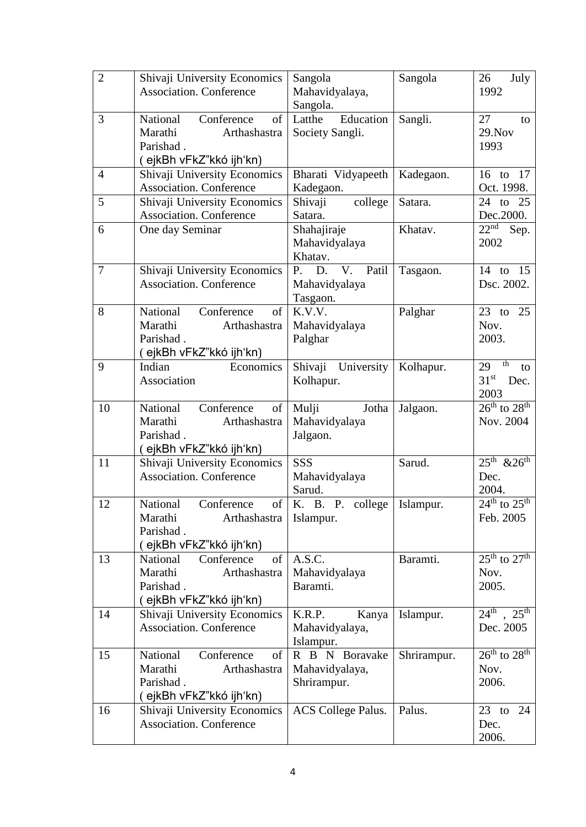| $\overline{2}$ | Shivaji University Economics<br><b>Association. Conference</b>                                          | Sangola<br>Mahavidyalaya,<br>Sangola.           | Sangola     | 26<br>July<br>1992                                           |
|----------------|---------------------------------------------------------------------------------------------------------|-------------------------------------------------|-------------|--------------------------------------------------------------|
| 3              | National<br>Conference<br>of<br>Marathi<br>Arthashastra<br>Parishad.<br>(ejkBh vFkZ"kkó ijh'kn)         | Education<br>Latthe<br>Society Sangli.          | Sangli.     | 27<br>to<br>29. Nov<br>1993                                  |
| $\overline{4}$ | Shivaji University Economics<br><b>Association. Conference</b>                                          | Bharati Vidyapeeth<br>Kadegaon.                 | Kadegaon.   | $16$ to<br>-17<br>Oct. 1998.                                 |
| 5              | Shivaji University Economics<br><b>Association. Conference</b>                                          | Shivaji<br>college<br>Satara.                   | Satara.     | 24 to 25<br>Dec. 2000.                                       |
| 6              | One day Seminar                                                                                         | Shahajiraje<br>Mahavidyalaya<br>Khatav.         | Khatav.     | 22 <sup>nd</sup><br>Sep.<br>2002                             |
| $\overline{7}$ | Shivaji University Economics<br><b>Association. Conference</b>                                          | P. D. V. Patil<br>Mahavidyalaya<br>Tasgaon.     | Tasgaon.    | 14 to 15<br>Dsc. 2002.                                       |
| 8              | National<br>Conference<br>of<br>Marathi<br>Arthashastra<br>Parishad.<br>( ejkBh vFkZ"kkó ijh'kn)        | K.V.V.<br>Mahavidyalaya<br>Palghar              | Palghar     | 23 to 25<br>Nov.<br>2003.                                    |
| 9              | Economics<br>Indian<br>Association                                                                      | Shivaji University<br>Kolhapur.                 | Kolhapur.   | th<br>29<br>to<br>31 <sup>st</sup><br>Dec.<br>2003           |
| 10             | National<br>Conference<br>of<br>Marathi<br>Arthashastra<br>Parishad.<br>(ejkBh vFkZ"kkó ijh'kn)         | Mulji<br>Jotha<br>Mahavidyalaya<br>Jalgaon.     | Jalgaon.    | $26^{\text{th}}$ to $28^{\text{th}}$<br>Nov. 2004            |
| 11             | Shivaji University Economics<br><b>Association. Conference</b>                                          | SSS<br>Mahavidyalaya<br>Sarud.                  | Sarud.      | $25^{\text{th}}$ & $26^{\text{th}}$<br>Dec.<br>2004.         |
| 12             | National<br>Conference<br>of<br>Marathi<br>Arthashastra<br>Parishad.<br>(ejkBh vFkZ"kkó ijh'kn)         | K. B. P. college<br>Islampur.                   | Islampur.   | $24th$ to $25th$<br>Feb. 2005                                |
| 13             | Conference<br>of<br><b>National</b><br>Marathi<br>Arthashastra<br>Parishad.<br>( ejkBh vFkZ"kkó ijh'kn) | A.S.C.<br>Mahavidyalaya<br>Baramti.             | Baramti.    | $25^{\text{th}}$ to $27^{\text{th}}$<br>Nov.<br>2005.        |
| 14             | Shivaji University Economics<br><b>Association. Conference</b>                                          | K.R.P.<br>Kanya<br>Mahavidyalaya,<br>Islampur.  | Islampur.   | $\overline{24}^{\text{th}}$ , $25^{\text{th}}$<br>Dec. 2005  |
| 15             | National<br>Conference<br>of<br>Marathi<br>Arthashastra<br>Parishad.<br>(ejkBh vFkZ"kkó ijh'kn)         | R B N Boravake<br>Mahavidyalaya,<br>Shrirampur. | Shrirampur. | $\overline{26^{th}$ to $\overline{28^{th}}$<br>Nov.<br>2006. |
| 16             | Shivaji University Economics<br><b>Association. Conference</b>                                          | <b>ACS</b> College Palus.                       | Palus.      | $23$ to<br>24<br>Dec.<br>2006.                               |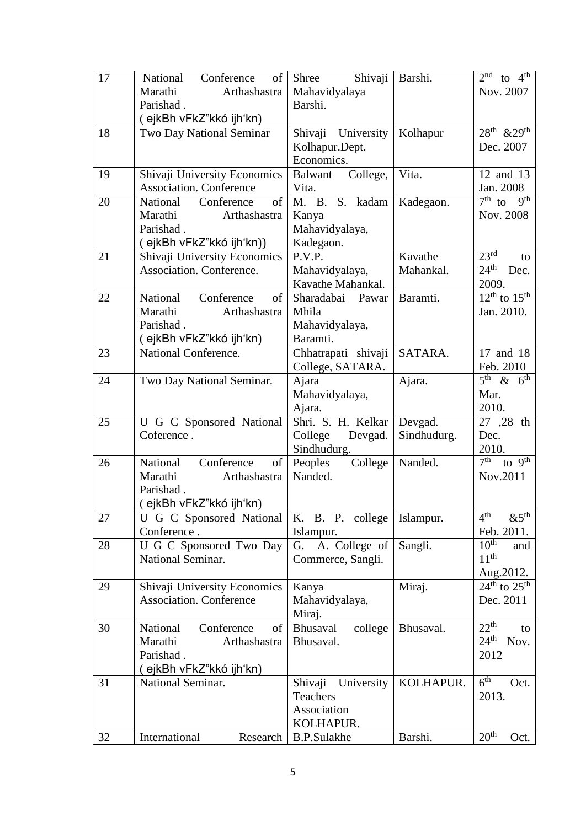| 17 | National<br>Conference<br>of                            | Shivaji<br>Shree                      | Barshi.     | $2^{nd}$ to $4^{th}$                      |
|----|---------------------------------------------------------|---------------------------------------|-------------|-------------------------------------------|
|    | Marathi<br>Arthashastra                                 | Mahavidyalaya                         |             | Nov. 2007                                 |
|    | Parishad.                                               | Barshi.                               |             |                                           |
|    | (ejkBh vFkZ"kkó ijh'kn)                                 |                                       |             |                                           |
| 18 | Two Day National Seminar                                | Shivaji University                    | Kolhapur    | $28^{\text{th}}$ & $29^{\text{th}}$       |
|    |                                                         | Kolhapur.Dept.                        |             | Dec. 2007                                 |
|    |                                                         | Economics.                            |             |                                           |
| 19 | Shivaji University Economics                            | Balwant College,                      | Vita.       | 12 and 13                                 |
|    | <b>Association. Conference</b>                          | Vita.                                 |             | Jan. 2008                                 |
| 20 | Conference<br>National<br>of                            | M. B. S. kadam                        | Kadegaon.   | $7th$ to<br>$q^{th}$                      |
|    | Marathi<br>Arthashastra                                 | Kanya                                 |             | Nov. 2008                                 |
|    | Parishad.                                               | Mahavidyalaya,                        |             |                                           |
|    | (ejkBh vFkZ"kkó ijh'kn))                                | Kadegaon.                             |             |                                           |
| 21 | Shivaji University Economics                            | P.V.P.                                | Kavathe     | 23 <sup>rd</sup><br>to                    |
|    | Association. Conference.                                | Mahavidyalaya,                        | Mahankal.   | $24^{\text{th}}$<br>Dec.                  |
|    |                                                         | Kavathe Mahankal.<br>Sharadabai Pawar |             | 2009.<br>$12^{th}$ to $15^{th}$           |
| 22 | National<br>Conference<br>of<br>Marathi<br>Arthashastra | Mhila                                 | Baramti.    | Jan. 2010.                                |
|    | Parishad.                                               |                                       |             |                                           |
|    |                                                         | Mahavidyalaya,<br>Baramti.            |             |                                           |
| 23 | (ejkBh vFkZ"kkó ijh'kn)<br>National Conference.         | Chhatrapati shivaji                   | SATARA.     | 17 and 18                                 |
|    |                                                         | College, SATARA.                      |             | Feb. 2010                                 |
| 24 | Two Day National Seminar.                               | Ajara                                 | Ajara.      | $5th$ & $6th$                             |
|    |                                                         | Mahavidyalaya,                        |             | Mar.                                      |
|    |                                                         | Ajara.                                |             | 2010.                                     |
| 25 | U G C Sponsored National                                | Shri. S. H. Kelkar                    | Devgad.     | 27 ,28 th                                 |
|    | Coference.                                              | College<br>Devgad.                    | Sindhudurg. | Dec.                                      |
|    |                                                         | Sindhudurg.                           |             | 2010.                                     |
| 26 | National<br>Conference<br>of                            | Peoples<br>College                    | Nanded.     | 7 <sup>th</sup><br>to $\overline{9^{th}}$ |
|    | Marathi<br>Arthashastra                                 | Nanded.                               |             | Nov.2011                                  |
|    | Parishad.                                               |                                       |             |                                           |
|    | (ejkBh vFkZ"kkó ijh'kn)                                 |                                       |             |                                           |
| 27 | U G C Sponsored National                                | K. B. P. college                      | Islampur.   | 4 <sup>th</sup><br>$\&5^{\text{th}}$      |
|    | Conference.                                             | Islampur.                             |             | Feb. 2011.                                |
| 28 | U G C Sponsored Two Day                                 | G. A. College of                      | Sangli.     | $10^{th}$<br>and                          |
|    | National Seminar.                                       | Commerce, Sangli.                     |             | $11^{th}$                                 |
|    |                                                         |                                       |             | Aug. 2012.                                |
| 29 | Shivaji University Economics                            | Kanya                                 | Miraj.      | $24^{\text{th}}$ to $25^{\text{th}}$      |
|    | <b>Association. Conference</b>                          | Mahavidyalaya,                        |             | Dec. 2011                                 |
|    |                                                         | Miraj.                                |             |                                           |
| 30 | of<br>National<br>Conference                            | Bhusaval<br>college                   | Bhusaval.   | $22^{th}$<br>to                           |
|    | Marathi<br>Arthashastra                                 | Bhusaval.                             |             | $24^{\text{th}}$<br>Nov.                  |
|    | Parishad.                                               |                                       |             | 2012                                      |
|    | (ejkBh vFkZ"kkó ijh'kn)                                 |                                       |             |                                           |
| 31 | National Seminar.                                       | Shivaji<br>University                 | KOLHAPUR.   | 6 <sup>th</sup><br>Oct.                   |
|    |                                                         | <b>Teachers</b>                       |             | 2013.                                     |
|    |                                                         | Association                           |             |                                           |
|    |                                                         | KOLHAPUR.                             |             | 20 <sup>th</sup>                          |
| 32 | International<br>Research                               | <b>B.P.Sulakhe</b>                    | Barshi.     | Oct.                                      |